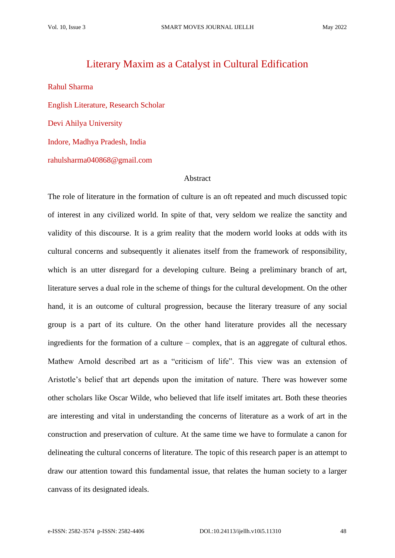## Literary Maxim as a Catalyst in Cultural Edification

Rahul Sharma English Literature, Research Scholar Devi Ahilya University Indore, Madhya Pradesh, India rahulsharma040868@gmail.com

## Abstract

The role of literature in the formation of culture is an oft repeated and much discussed topic of interest in any civilized world. In spite of that, very seldom we realize the sanctity and validity of this discourse. It is a grim reality that the modern world looks at odds with its cultural concerns and subsequently it alienates itself from the framework of responsibility, which is an utter disregard for a developing culture. Being a preliminary branch of art, literature serves a dual role in the scheme of things for the cultural development. On the other hand, it is an outcome of cultural progression, because the literary treasure of any social group is a part of its culture. On the other hand literature provides all the necessary ingredients for the formation of a culture – complex, that is an aggregate of cultural ethos. Mathew Arnold described art as a "criticism of life". This view was an extension of Aristotle's belief that art depends upon the imitation of nature. There was however some other scholars like Oscar Wilde, who believed that life itself imitates art. Both these theories are interesting and vital in understanding the concerns of literature as a work of art in the construction and preservation of culture. At the same time we have to formulate a canon for delineating the cultural concerns of literature. The topic of this research paper is an attempt to draw our attention toward this fundamental issue, that relates the human society to a larger canvass of its designated ideals.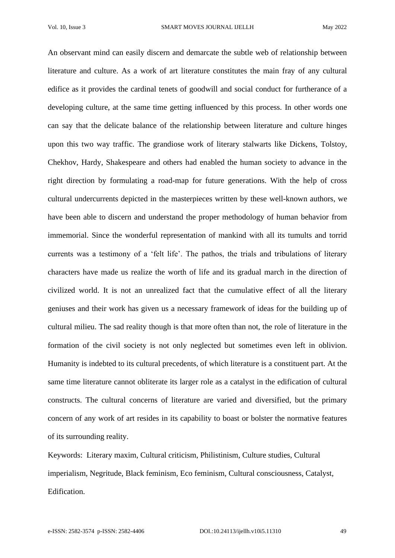An observant mind can easily discern and demarcate the subtle web of relationship between literature and culture. As a work of art literature constitutes the main fray of any cultural edifice as it provides the cardinal tenets of goodwill and social conduct for furtherance of a developing culture, at the same time getting influenced by this process. In other words one can say that the delicate balance of the relationship between literature and culture hinges upon this two way traffic. The grandiose work of literary stalwarts like Dickens, Tolstoy, Chekhov, Hardy, Shakespeare and others had enabled the human society to advance in the right direction by formulating a road-map for future generations. With the help of cross cultural undercurrents depicted in the masterpieces written by these well-known authors, we have been able to discern and understand the proper methodology of human behavior from immemorial. Since the wonderful representation of mankind with all its tumults and torrid currents was a testimony of a 'felt life'. The pathos, the trials and tribulations of literary characters have made us realize the worth of life and its gradual march in the direction of civilized world. It is not an unrealized fact that the cumulative effect of all the literary geniuses and their work has given us a necessary framework of ideas for the building up of cultural milieu. The sad reality though is that more often than not, the role of literature in the formation of the civil society is not only neglected but sometimes even left in oblivion. Humanity is indebted to its cultural precedents, of which literature is a constituent part. At the same time literature cannot obliterate its larger role as a catalyst in the edification of cultural constructs. The cultural concerns of literature are varied and diversified, but the primary concern of any work of art resides in its capability to boast or bolster the normative features of its surrounding reality.

Keywords: Literary maxim, Cultural criticism, Philistinism, Culture studies, Cultural imperialism, Negritude, Black feminism, Eco feminism, Cultural consciousness, Catalyst, Edification.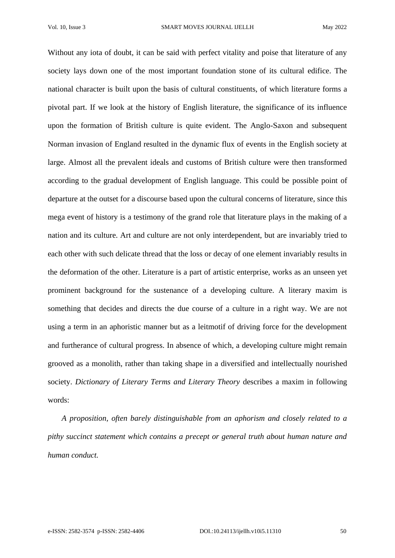Without any iota of doubt, it can be said with perfect vitality and poise that literature of any society lays down one of the most important foundation stone of its cultural edifice. The national character is built upon the basis of cultural constituents, of which literature forms a pivotal part. If we look at the history of English literature, the significance of its influence upon the formation of British culture is quite evident. The Anglo-Saxon and subsequent Norman invasion of England resulted in the dynamic flux of events in the English society at large. Almost all the prevalent ideals and customs of British culture were then transformed according to the gradual development of English language. This could be possible point of departure at the outset for a discourse based upon the cultural concerns of literature, since this mega event of history is a testimony of the grand role that literature plays in the making of a nation and its culture. Art and culture are not only interdependent, but are invariably tried to each other with such delicate thread that the loss or decay of one element invariably results in the deformation of the other. Literature is a part of artistic enterprise, works as an unseen yet prominent background for the sustenance of a developing culture. A literary maxim is something that decides and directs the due course of a culture in a right way. We are not using a term in an aphoristic manner but as a leitmotif of driving force for the development and furtherance of cultural progress. In absence of which, a developing culture might remain grooved as a monolith, rather than taking shape in a diversified and intellectually nourished society. *Dictionary of Literary Terms and Literary Theory* describes a maxim in following words:

 *A proposition, often barely distinguishable from an aphorism and closely related to a pithy succinct statement which contains a precept or general truth about human nature and human conduct.*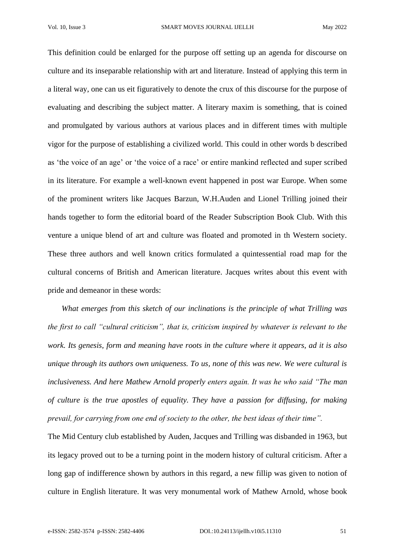This definition could be enlarged for the purpose off setting up an agenda for discourse on culture and its inseparable relationship with art and literature. Instead of applying this term in a literal way, one can us eit figuratively to denote the crux of this discourse for the purpose of evaluating and describing the subject matter. A literary maxim is something, that is coined and promulgated by various authors at various places and in different times with multiple vigor for the purpose of establishing a civilized world. This could in other words b described as 'the voice of an age' or 'the voice of a race' or entire mankind reflected and super scribed in its literature. For example a well-known event happened in post war Europe. When some of the prominent writers like Jacques Barzun, W.H.Auden and Lionel Trilling joined their hands together to form the editorial board of the Reader Subscription Book Club. With this venture a unique blend of art and culture was floated and promoted in th Western society. These three authors and well known critics formulated a quintessential road map for the cultural concerns of British and American literature. Jacques writes about this event with pride and demeanor in these words:

 *What emerges from this sketch of our inclinations is the principle of what Trilling was the first to call "cultural criticism", that is, criticism inspired by whatever is relevant to the work. Its genesis, form and meaning have roots in the culture where it appears, ad it is also unique through its authors own uniqueness. To us, none of this was new. We were cultural is inclusiveness. And here Mathew Arnold properly enters again. It was he who said "The man of culture is the true apostles of equality. They have a passion for diffusing, for making prevail, for carrying from one end of society to the other, the best ideas of their time".*

The Mid Century club established by Auden, Jacques and Trilling was disbanded in 1963, but its legacy proved out to be a turning point in the modern history of cultural criticism. After a long gap of indifference shown by authors in this regard, a new fillip was given to notion of culture in English literature. It was very monumental work of Mathew Arnold, whose book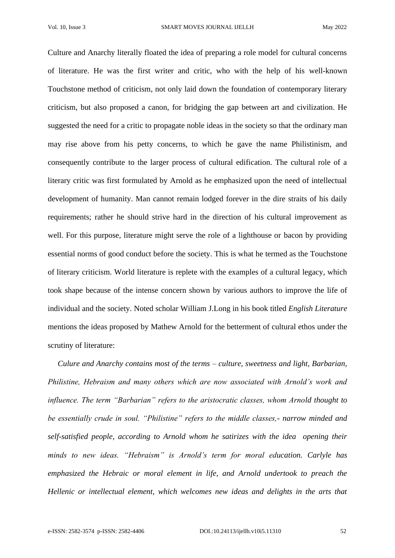Culture and Anarchy literally floated the idea of preparing a role model for cultural concerns of literature. He was the first writer and critic, who with the help of his well-known Touchstone method of criticism, not only laid down the foundation of contemporary literary criticism, but also proposed a canon, for bridging the gap between art and civilization. He suggested the need for a critic to propagate noble ideas in the society so that the ordinary man may rise above from his petty concerns, to which he gave the name Philistinism, and consequently contribute to the larger process of cultural edification. The cultural role of a literary critic was first formulated by Arnold as he emphasized upon the need of intellectual development of humanity. Man cannot remain lodged forever in the dire straits of his daily requirements; rather he should strive hard in the direction of his cultural improvement as well. For this purpose, literature might serve the role of a lighthouse or bacon by providing essential norms of good conduct before the society. This is what he termed as the Touchstone of literary criticism. World literature is replete with the examples of a cultural legacy, which took shape because of the intense concern shown by various authors to improve the life of individual and the society. Noted scholar William J.Long in his book titled *English Literature* mentions the ideas proposed by Mathew Arnold for the betterment of cultural ethos under the scrutiny of literature:

 *Culure and Anarchy contains most of the terms – culture, sweetness and light, Barbarian, Philistine, Hebraism and many others which are now associated with Arnold's work and influence. The term "Barbarian" refers to the aristocratic classes, whom Arnold thought to be essentially crude in soul. "Philistine" refers to the middle classes,- narrow minded and self-satisfied people, according to Arnold whom he satirizes with the idea opening their minds to new ideas. "Hebraism" is Arnold's term for moral education. Carlyle has emphasized the Hebraic or moral element in life, and Arnold undertook to preach the Hellenic or intellectual element, which welcomes new ideas and delights in the arts that*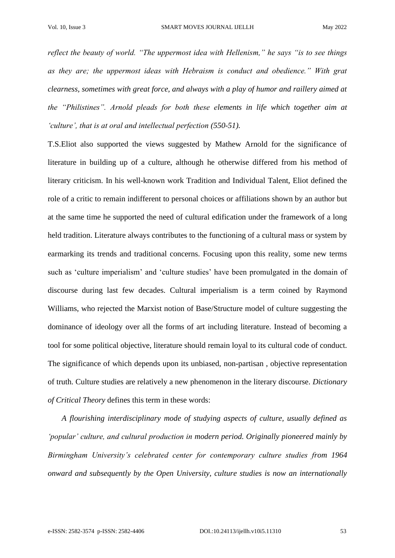*reflect the beauty of world. "The uppermost idea with Hellenism," he says "is to see things as they are; the uppermost ideas with Hebraism is conduct and obedience." With grat clearness, sometimes with great force, and always with a play of humor and raillery aimed at the "Philistines". Arnold pleads for both these elements in life which together aim at 'culture', that is at oral and intellectual perfection (550-51).*

T.S.Eliot also supported the views suggested by Mathew Arnold for the significance of literature in building up of a culture, although he otherwise differed from his method of literary criticism. In his well-known work Tradition and Individual Talent, Eliot defined the role of a critic to remain indifferent to personal choices or affiliations shown by an author but at the same time he supported the need of cultural edification under the framework of a long held tradition. Literature always contributes to the functioning of a cultural mass or system by earmarking its trends and traditional concerns. Focusing upon this reality, some new terms such as 'culture imperialism' and 'culture studies' have been promulgated in the domain of discourse during last few decades. Cultural imperialism is a term coined by Raymond Williams, who rejected the Marxist notion of Base/Structure model of culture suggesting the dominance of ideology over all the forms of art including literature. Instead of becoming a tool for some political objective, literature should remain loyal to its cultural code of conduct. The significance of which depends upon its unbiased, non-partisan , objective representation of truth. Culture studies are relatively a new phenomenon in the literary discourse. *Dictionary of Critical Theory* defines this term in these words:

 *A flourishing interdisciplinary mode of studying aspects of culture, usually defined as 'popular' culture, and cultural production in modern period. Originally pioneered mainly by Birmingham University's celebrated center for contemporary culture studies from 1964 onward and subsequently by the Open University, culture studies is now an internationally*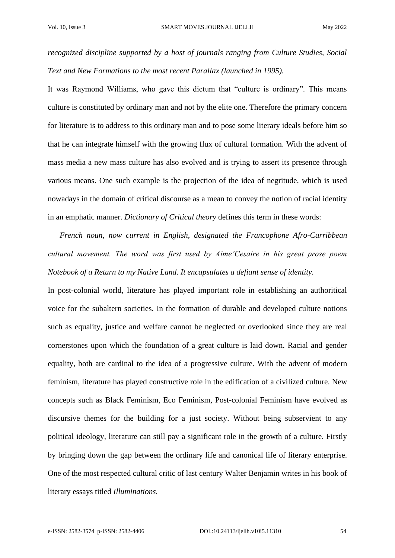*recognized discipline supported by a host of journals ranging from Culture Studies, Social Text and New Formations to the most recent Parallax (launched in 1995).*

It was Raymond Williams, who gave this dictum that "culture is ordinary". This means culture is constituted by ordinary man and not by the elite one. Therefore the primary concern for literature is to address to this ordinary man and to pose some literary ideals before him so that he can integrate himself with the growing flux of cultural formation. With the advent of mass media a new mass culture has also evolved and is trying to assert its presence through various means. One such example is the projection of the idea of negritude, which is used nowadays in the domain of critical discourse as a mean to convey the notion of racial identity in an emphatic manner. *Dictionary of Critical theory* defines this term in these words:

 *French noun, now current in English, designated the Francophone Afro-Carribbean cultural movement. The word was first used by Aime'Cesaire in his great prose poem Notebook of a Return to my Native Land. It encapsulates a defiant sense of identity.*

In post-colonial world, literature has played important role in establishing an authoritical voice for the subaltern societies. In the formation of durable and developed culture notions such as equality, justice and welfare cannot be neglected or overlooked since they are real cornerstones upon which the foundation of a great culture is laid down. Racial and gender equality, both are cardinal to the idea of a progressive culture. With the advent of modern feminism, literature has played constructive role in the edification of a civilized culture. New concepts such as Black Feminism, Eco Feminism, Post-colonial Feminism have evolved as discursive themes for the building for a just society. Without being subservient to any political ideology, literature can still pay a significant role in the growth of a culture. Firstly by bringing down the gap between the ordinary life and canonical life of literary enterprise. One of the most respected cultural critic of last century Walter Benjamin writes in his book of literary essays titled *Illuminations.*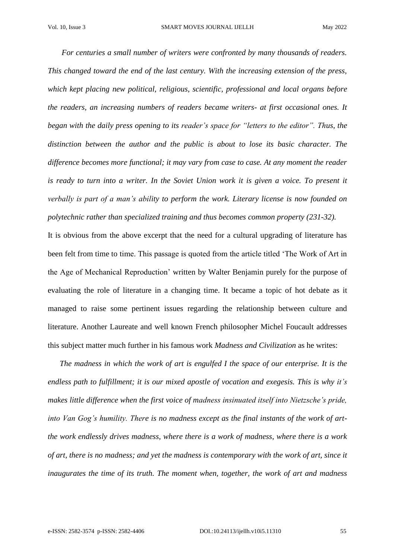*For centuries a small number of writers were confronted by many thousands of readers. This changed toward the end of the last century. With the increasing extension of the press, which kept placing new political, religious, scientific, professional and local organs before the readers, an increasing numbers of readers became writers- at first occasional ones. It began with the daily press opening to its reader's space for "letters to the editor". Thus, the distinction between the author and the public is about to lose its basic character. The difference becomes more functional; it may vary from case to case. At any moment the reader is ready to turn into a writer. In the Soviet Union work it is given a voice. To present it verbally is part of a man's ability to perform the work. Literary license is now founded on polytechnic rather than specialized training and thus becomes common property (231-32).*

It is obvious from the above excerpt that the need for a cultural upgrading of literature has been felt from time to time. This passage is quoted from the article titled 'The Work of Art in the Age of Mechanical Reproduction' written by Walter Benjamin purely for the purpose of evaluating the role of literature in a changing time. It became a topic of hot debate as it managed to raise some pertinent issues regarding the relationship between culture and literature. Another Laureate and well known French philosopher Michel Foucault addresses this subject matter much further in his famous work *Madness and Civilization* as he writes:

 *The madness in which the work of art is engulfed I the space of our enterprise. It is the endless path to fulfillment; it is our mixed apostle of vocation and exegesis. This is why it's makes little difference when the first voice of madness insinuated itself into Nietzsche's pride, into Van Gog's humility. There is no madness except as the final instants of the work of artthe work endlessly drives madness, where there is a work of madness, where there is a work of art, there is no madness; and yet the madness is contemporary with the work of art, since it inaugurates the time of its truth. The moment when, together, the work of art and madness*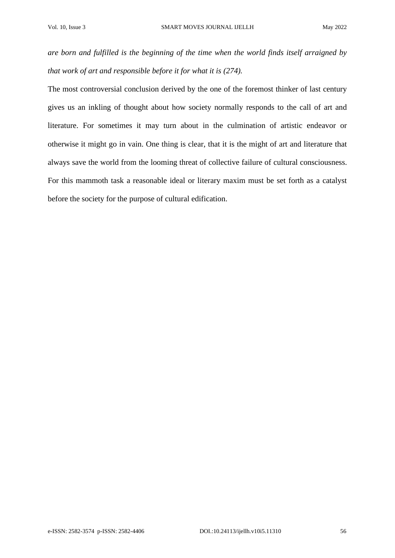*are born and fulfilled is the beginning of the time when the world finds itself arraigned by that work of art and responsible before it for what it is (274).*

The most controversial conclusion derived by the one of the foremost thinker of last century gives us an inkling of thought about how society normally responds to the call of art and literature. For sometimes it may turn about in the culmination of artistic endeavor or otherwise it might go in vain. One thing is clear, that it is the might of art and literature that always save the world from the looming threat of collective failure of cultural consciousness. For this mammoth task a reasonable ideal or literary maxim must be set forth as a catalyst before the society for the purpose of cultural edification.